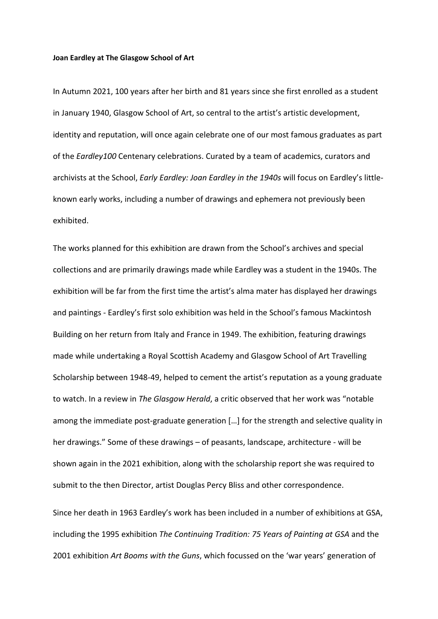## **Joan Eardley at The Glasgow School of Art**

In Autumn 2021, 100 years after her birth and 81 years since she first enrolled as a student in January 1940, Glasgow School of Art, so central to the artist's artistic development, identity and reputation, will once again celebrate one of our most famous graduates as part of the *Eardley100* Centenary celebrations. Curated by a team of academics, curators and archivists at the School, *Early Eardley: Joan Eardley in the 1940s* will focus on Eardley's littleknown early works, including a number of drawings and ephemera not previously been exhibited.

The works planned for this exhibition are drawn from the School's archives and special collections and are primarily drawings made while Eardley was a student in the 1940s. The exhibition will be far from the first time the artist's alma mater has displayed her drawings and paintings - Eardley's first solo exhibition was held in the School's famous Mackintosh Building on her return from Italy and France in 1949. The exhibition, featuring drawings made while undertaking a Royal Scottish Academy and Glasgow School of Art Travelling Scholarship between 1948-49, helped to cement the artist's reputation as a young graduate to watch. In a review in *The Glasgow Herald*, a critic observed that her work was "notable among the immediate post-graduate generation […] for the strength and selective quality in her drawings." Some of these drawings – of peasants, landscape, architecture - will be shown again in the 2021 exhibition, along with the scholarship report she was required to submit to the then Director, artist Douglas Percy Bliss and other correspondence.

Since her death in 1963 Eardley's work has been included in a number of exhibitions at GSA, including the 1995 exhibition *The Continuing Tradition: 75 Years of Painting at GSA* and the 2001 exhibition *Art Booms with the Guns*, which focussed on the 'war years' generation of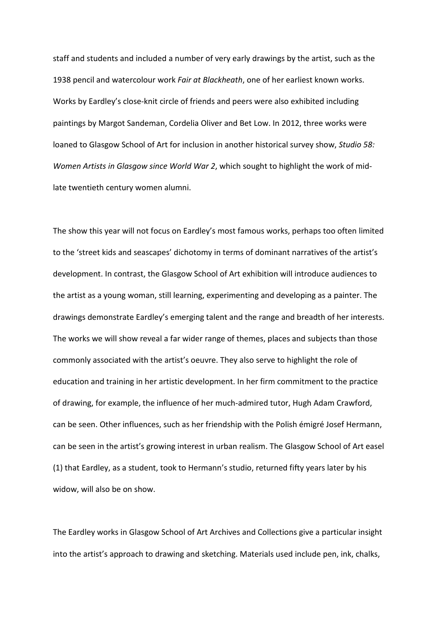staff and students and included a number of very early drawings by the artist, such as the 1938 pencil and watercolour work *Fair at Blackheath*, one of her earliest known works. Works by Eardley's close-knit circle of friends and peers were also exhibited including paintings by Margot Sandeman, Cordelia Oliver and Bet Low. In 2012, three works were loaned to Glasgow School of Art for inclusion in another historical survey show, *Studio 58: Women Artists in Glasgow since World War 2*, which sought to highlight the work of midlate twentieth century women alumni.

The show this year will not focus on Eardley's most famous works, perhaps too often limited to the 'street kids and seascapes' dichotomy in terms of dominant narratives of the artist's development. In contrast, the Glasgow School of Art exhibition will introduce audiences to the artist as a young woman, still learning, experimenting and developing as a painter. The drawings demonstrate Eardley's emerging talent and the range and breadth of her interests. The works we will show reveal a far wider range of themes, places and subjects than those commonly associated with the artist's oeuvre. They also serve to highlight the role of education and training in her artistic development. In her firm commitment to the practice of drawing, for example, the influence of her much-admired tutor, Hugh Adam Crawford, can be seen. Other influences, such as her friendship with the Polish émigré Josef Hermann, can be seen in the artist's growing interest in urban realism. The Glasgow School of Art easel (1) that Eardley, as a student, took to Hermann's studio, returned fifty years later by his widow, will also be on show.

The Eardley works in Glasgow School of Art Archives and Collections give a particular insight into the artist's approach to drawing and sketching. Materials used include pen, ink, chalks,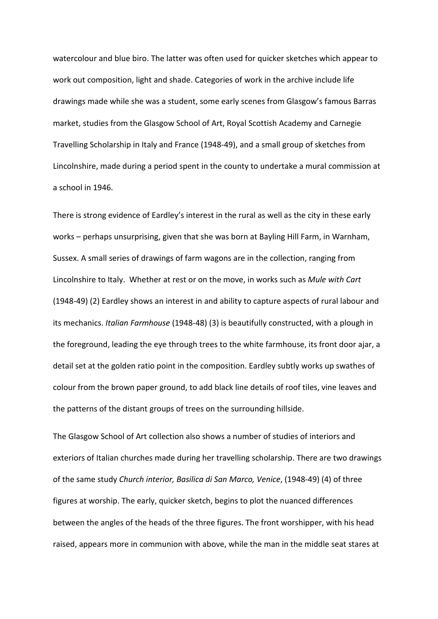watercolour and blue biro. The latter was often used for quicker sketches which appear to work out composition, light and shade. Categories of work in the archive include life drawings made while she was a student, some early scenes from Glasgow's famous Barras market, studies from the Glasgow School of Art, Royal Scottish Academy and Carnegie Travelling Scholarship in Italy and France (1948-49), and a small group of sketches from Lincolnshire, made during a period spent in the county to undertake a mural commission at a school in 1946.

There is strong evidence of Eardley's interest in the rural as well as the city in these early works – perhaps unsurprising, given that she was born at Bayling Hill Farm, in Warnham, Sussex. A small series of drawings of farm wagons are in the collection, ranging from Lincolnshire to Italy. Whether at rest or on the move, in works such as *Mule with Cart* (1948-49) (2) Eardley shows an interest in and ability to capture aspects of rural labour and its mechanics. *Italian Farmhouse* (1948-48) (3) is beautifully constructed, with a plough in the foreground, leading the eye through trees to the white farmhouse, its front door ajar, a detail set at the golden ratio point in the composition. Eardley subtly works up swathes of colour from the brown paper ground, to add black line details of roof tiles, vine leaves and the patterns of the distant groups of trees on the surrounding hillside.

The Glasgow School of Art collection also shows a number of studies of interiors and exteriors of Italian churches made during her travelling scholarship. There are two drawings of the same study *Church interior, Basilica di San Marco, Venice*, (1948-49) (4) of three figures at worship. The early, quicker sketch, begins to plot the nuanced differences between the angles of the heads of the three figures. The front worshipper, with his head raised, appears more in communion with above, while the man in the middle seat stares at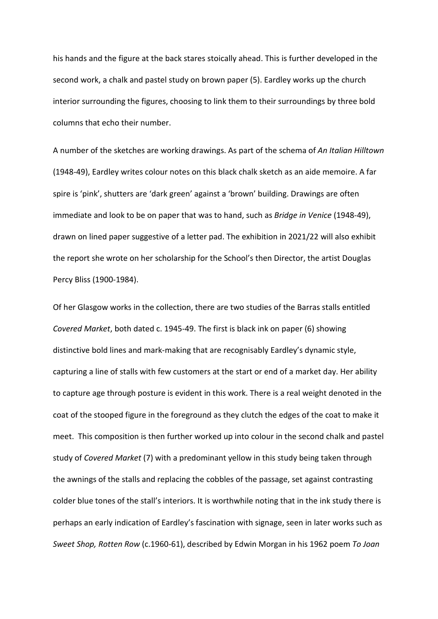his hands and the figure at the back stares stoically ahead. This is further developed in the second work, a chalk and pastel study on brown paper (5). Eardley works up the church interior surrounding the figures, choosing to link them to their surroundings by three bold columns that echo their number.

A number of the sketches are working drawings. As part of the schema of *An Italian Hilltown* (1948-49), Eardley writes colour notes on this black chalk sketch as an aide memoire. A far spire is 'pink', shutters are 'dark green' against a 'brown' building. Drawings are often immediate and look to be on paper that was to hand, such as *Bridge in Venice* (1948-49), drawn on lined paper suggestive of a letter pad. The exhibition in 2021/22 will also exhibit the report she wrote on her scholarship for the School's then Director, the artist Douglas Percy Bliss (1900-1984).

Of her Glasgow works in the collection, there are two studies of the Barras stalls entitled *Covered Market*, both dated c. 1945-49. The first is black ink on paper (6) showing distinctive bold lines and mark-making that are recognisably Eardley's dynamic style, capturing a line of stalls with few customers at the start or end of a market day. Her ability to capture age through posture is evident in this work. There is a real weight denoted in the coat of the stooped figure in the foreground as they clutch the edges of the coat to make it meet. This composition is then further worked up into colour in the second chalk and pastel study of *Covered Market* (7) with a predominant yellow in this study being taken through the awnings of the stalls and replacing the cobbles of the passage, set against contrasting colder blue tones of the stall's interiors. It is worthwhile noting that in the ink study there is perhaps an early indication of Eardley's fascination with signage, seen in later works such as *Sweet Shop, Rotten Row* (c.1960-61), described by Edwin Morgan in his 1962 poem *To Joan*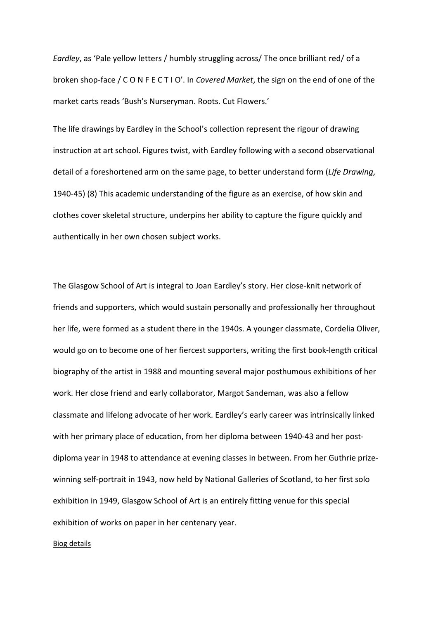*Eardley*, as 'Pale yellow letters / humbly struggling across/ The once brilliant red/ of a broken shop-face / C O N F E C T I O'. In *Covered Market*, the sign on the end of one of the market carts reads 'Bush's Nurseryman. Roots. Cut Flowers.'

The life drawings by Eardley in the School's collection represent the rigour of drawing instruction at art school. Figures twist, with Eardley following with a second observational detail of a foreshortened arm on the same page, to better understand form (*Life Drawing*, 1940-45) (8) This academic understanding of the figure as an exercise, of how skin and clothes cover skeletal structure, underpins her ability to capture the figure quickly and authentically in her own chosen subject works.

The Glasgow School of Art is integral to Joan Eardley's story. Her close-knit network of friends and supporters, which would sustain personally and professionally her throughout her life, were formed as a student there in the 1940s. A younger classmate, Cordelia Oliver, would go on to become one of her fiercest supporters, writing the first book-length critical biography of the artist in 1988 and mounting several major posthumous exhibitions of her work. Her close friend and early collaborator, Margot Sandeman, was also a fellow classmate and lifelong advocate of her work. Eardley's early career was intrinsically linked with her primary place of education, from her diploma between 1940-43 and her postdiploma year in 1948 to attendance at evening classes in between. From her Guthrie prizewinning self-portrait in 1943, now held by National Galleries of Scotland, to her first solo exhibition in 1949, Glasgow School of Art is an entirely fitting venue for this special exhibition of works on paper in her centenary year.

## Biog details